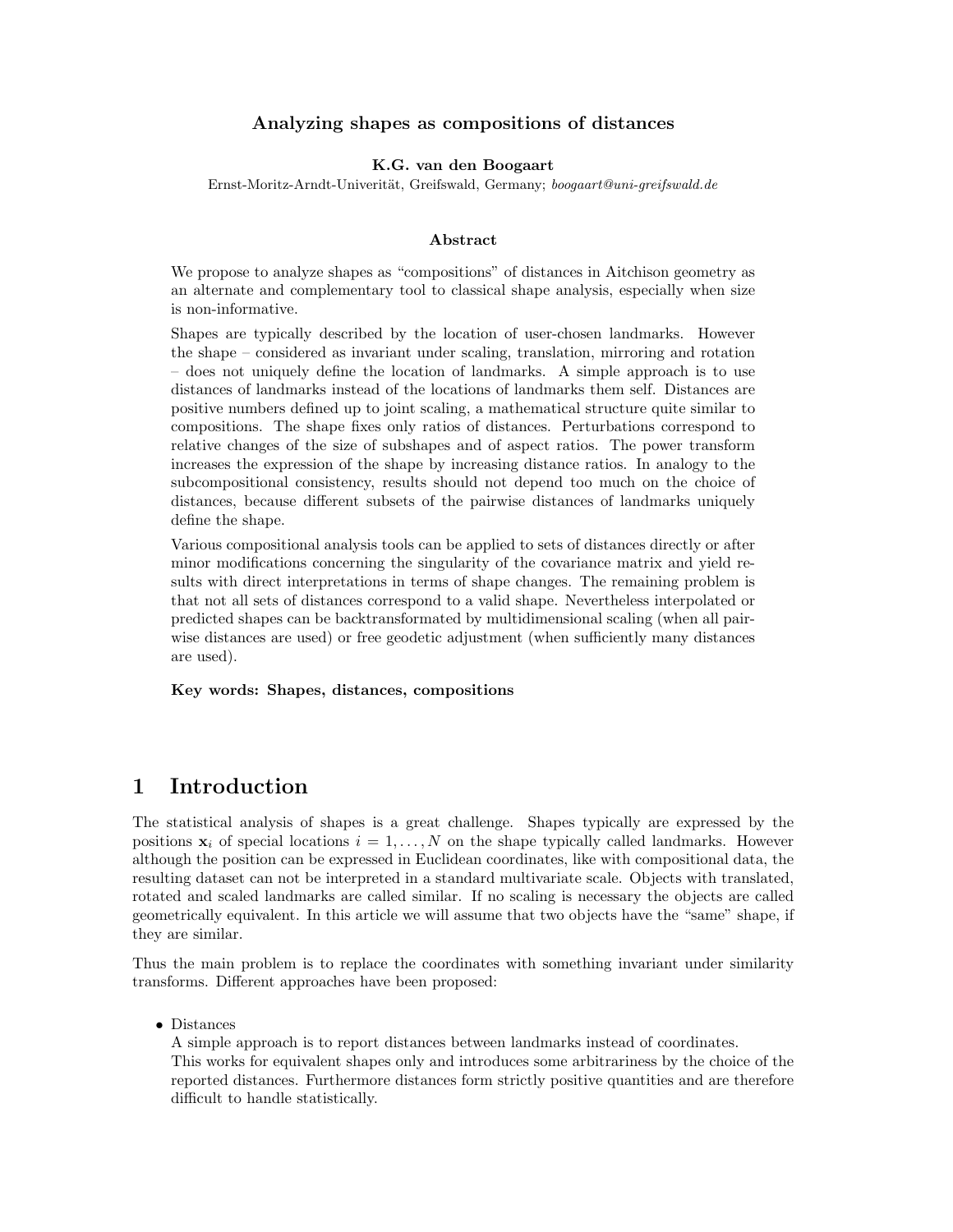### Analyzing shapes as compositions of distances

#### K.G. van den Boogaart

Ernst-Moritz-Arndt-Univerität, Greifswald, Germany; boogaart@uni-greifswald.de

#### Abstract

We propose to analyze shapes as "compositions" of distances in Aitchison geometry as an alternate and complementary tool to classical shape analysis, especially when size is non-informative.

Shapes are typically described by the location of user-chosen landmarks. However the shape – considered as invariant under scaling, translation, mirroring and rotation – does not uniquely define the location of landmarks. A simple approach is to use distances of landmarks instead of the locations of landmarks them self. Distances are positive numbers defined up to joint scaling, a mathematical structure quite similar to compositions. The shape fixes only ratios of distances. Perturbations correspond to relative changes of the size of subshapes and of aspect ratios. The power transform increases the expression of the shape by increasing distance ratios. In analogy to the subcompositional consistency, results should not depend too much on the choice of distances, because different subsets of the pairwise distances of landmarks uniquely define the shape.

Various compositional analysis tools can be applied to sets of distances directly or after minor modifications concerning the singularity of the covariance matrix and yield results with direct interpretations in terms of shape changes. The remaining problem is that not all sets of distances correspond to a valid shape. Nevertheless interpolated or predicted shapes can be backtransformated by multidimensional scaling (when all pairwise distances are used) or free geodetic adjustment (when sufficiently many distances are used).

#### Key words: Shapes, distances, compositions

## 1 Introduction

The statistical analysis of shapes is a great challenge. Shapes typically are expressed by the positions  $x_i$  of special locations  $i = 1, \ldots, N$  on the shape typically called landmarks. However although the position can be expressed in Euclidean coordinates, like with compositional data, the resulting dataset can not be interpreted in a standard multivariate scale. Objects with translated, rotated and scaled landmarks are called similar. If no scaling is necessary the objects are called geometrically equivalent. In this article we will assume that two objects have the "same" shape, if they are similar.

Thus the main problem is to replace the coordinates with something invariant under similarity transforms. Different approaches have been proposed:

• Distances

A simple approach is to report distances between landmarks instead of coordinates. This works for equivalent shapes only and introduces some arbitrariness by the choice of the reported distances. Furthermore distances form strictly positive quantities and are therefore difficult to handle statistically.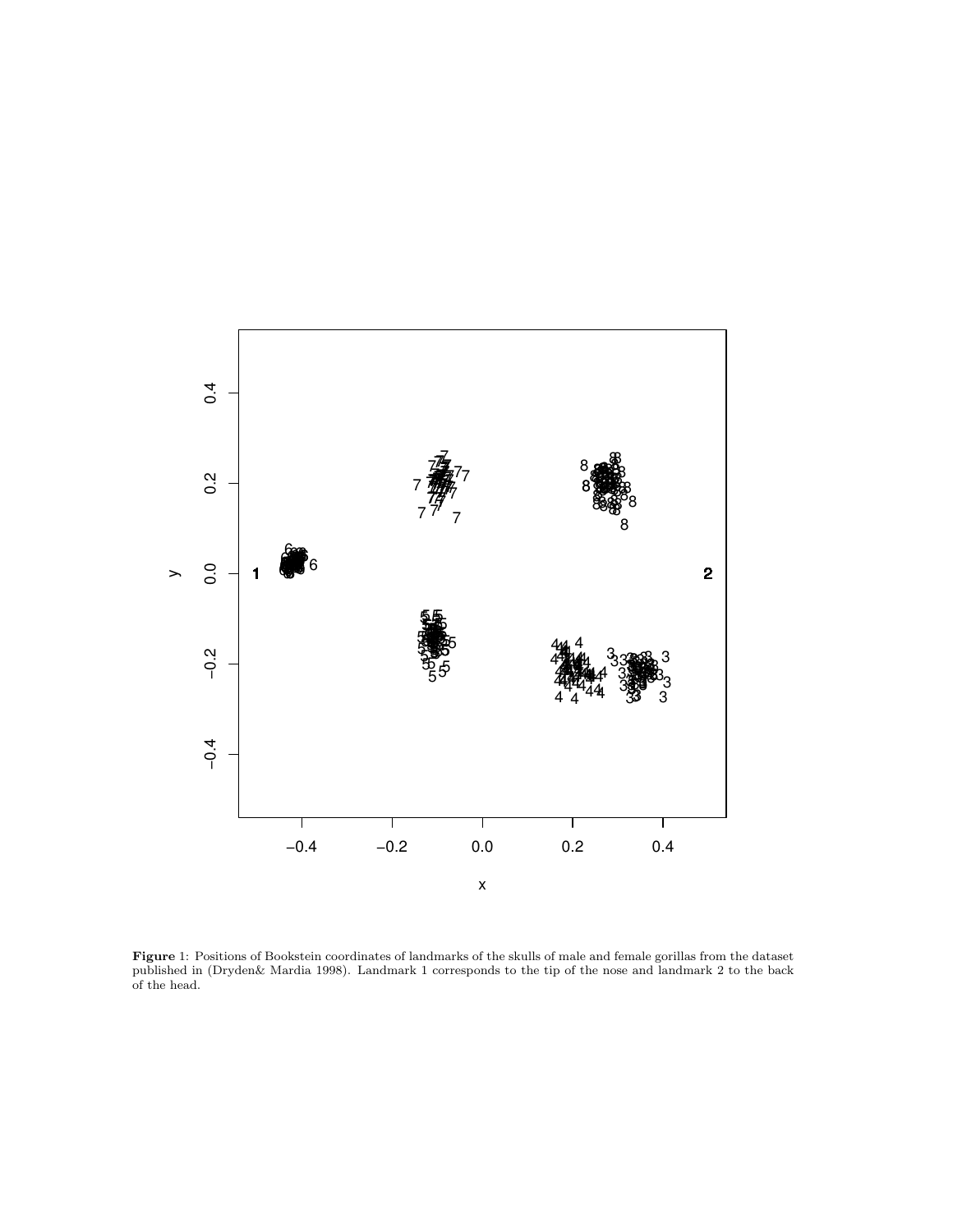

Figure 1: Positions of Bookstein coordinates of landmarks of the skulls of male and female gorillas from the dataset published in (Dryden& Mardia 1998). Landmark 1 corresponds to the tip of the nose and landmark 2 to the back of the head.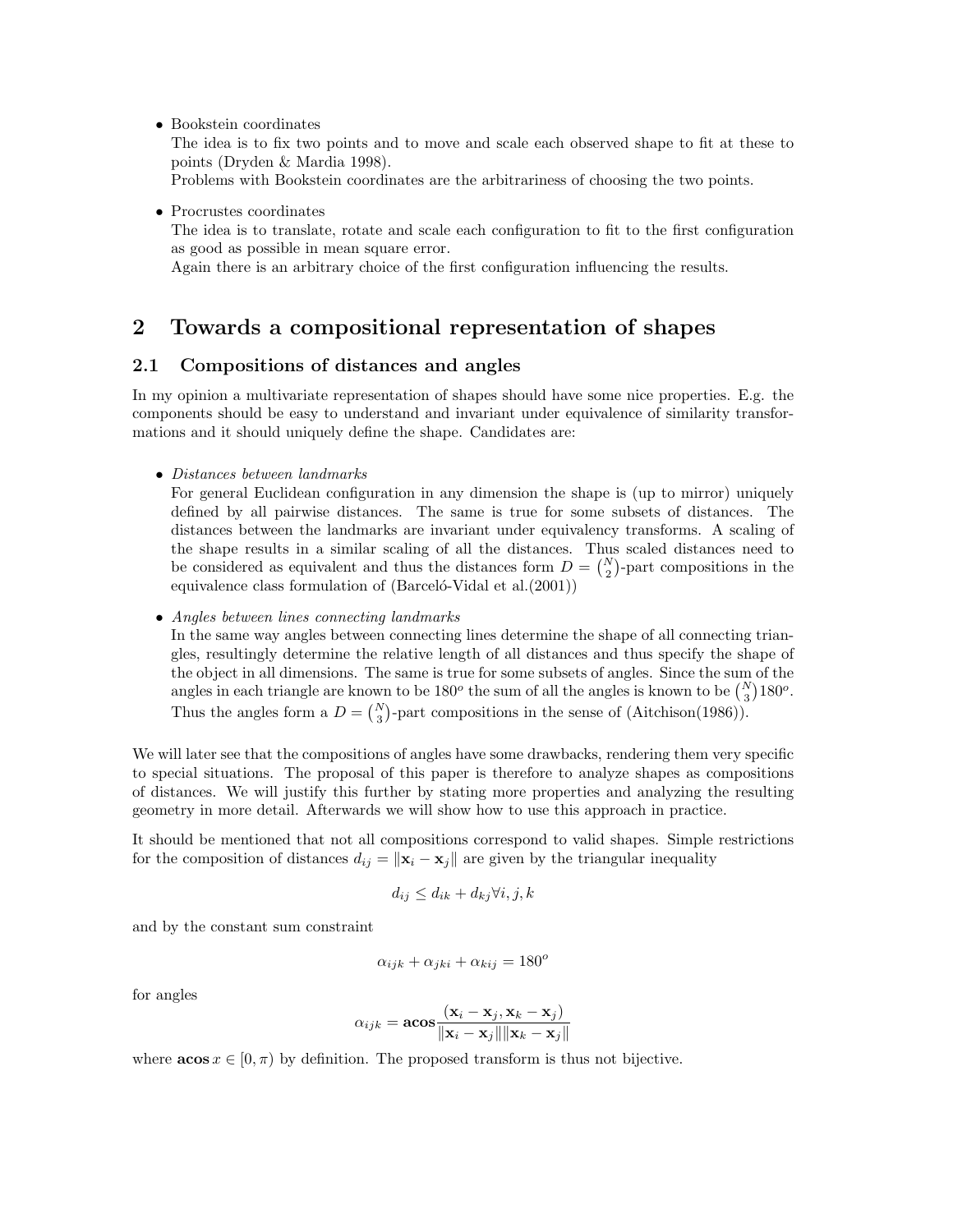• Bookstein coordinates

The idea is to fix two points and to move and scale each observed shape to fit at these to points (Dryden & Mardia 1998).

Problems with Bookstein coordinates are the arbitrariness of choosing the two points.

• Procrustes coordinates

The idea is to translate, rotate and scale each configuration to fit to the first configuration as good as possible in mean square error.

Again there is an arbitrary choice of the first configuration influencing the results.

## 2 Towards a compositional representation of shapes

#### 2.1 Compositions of distances and angles

In my opinion a multivariate representation of shapes should have some nice properties. E.g. the components should be easy to understand and invariant under equivalence of similarity transformations and it should uniquely define the shape. Candidates are:

• Distances between landmarks

For general Euclidean configuration in any dimension the shape is (up to mirror) uniquely defined by all pairwise distances. The same is true for some subsets of distances. The distances between the landmarks are invariant under equivalency transforms. A scaling of the shape results in a similar scaling of all the distances. Thus scaled distances need to be considered as equivalent and thus the distances form  $D = \binom{N}{2}$ -part compositions in the equivalence class formulation of  $(Bareel 6-Vidal et al. (2001))$ 

• Angles between lines connecting landmarks

In the same way angles between connecting lines determine the shape of all connecting triangles, resultingly determine the relative length of all distances and thus specify the shape of the object in all dimensions. The same is true for some subsets of angles. Since the sum of the angles in each triangle are known to be  $180^o$  the sum of all the angles is known to be  $\binom{N}{3}180^o$ . Thus the angles form a  $D = \binom{N}{3}$ -part compositions in the sense of (Aitchison(1986)).

We will later see that the compositions of angles have some drawbacks, rendering them very specific to special situations. The proposal of this paper is therefore to analyze shapes as compositions of distances. We will justify this further by stating more properties and analyzing the resulting geometry in more detail. Afterwards we will show how to use this approach in practice.

It should be mentioned that not all compositions correspond to valid shapes. Simple restrictions for the composition of distances  $d_{ij} = ||\mathbf{x}_i - \mathbf{x}_j||$  are given by the triangular inequality

$$
d_{ij} \le d_{ik} + d_{kj} \forall i, j, k
$$

and by the constant sum constraint

$$
\alpha_{ijk} + \alpha_{jki} + \alpha_{kij} = 180^o
$$

for angles

$$
\alpha_{ijk} = \mathbf{acos} \frac{(\mathbf{x}_i - \mathbf{x}_j, \mathbf{x}_k - \mathbf{x}_j)}{\|\mathbf{x}_i - \mathbf{x}_j\|\|\mathbf{x}_k - \mathbf{x}_j\|}
$$

where  $\arccos x \in [0, \pi)$  by definition. The proposed transform is thus not bijective.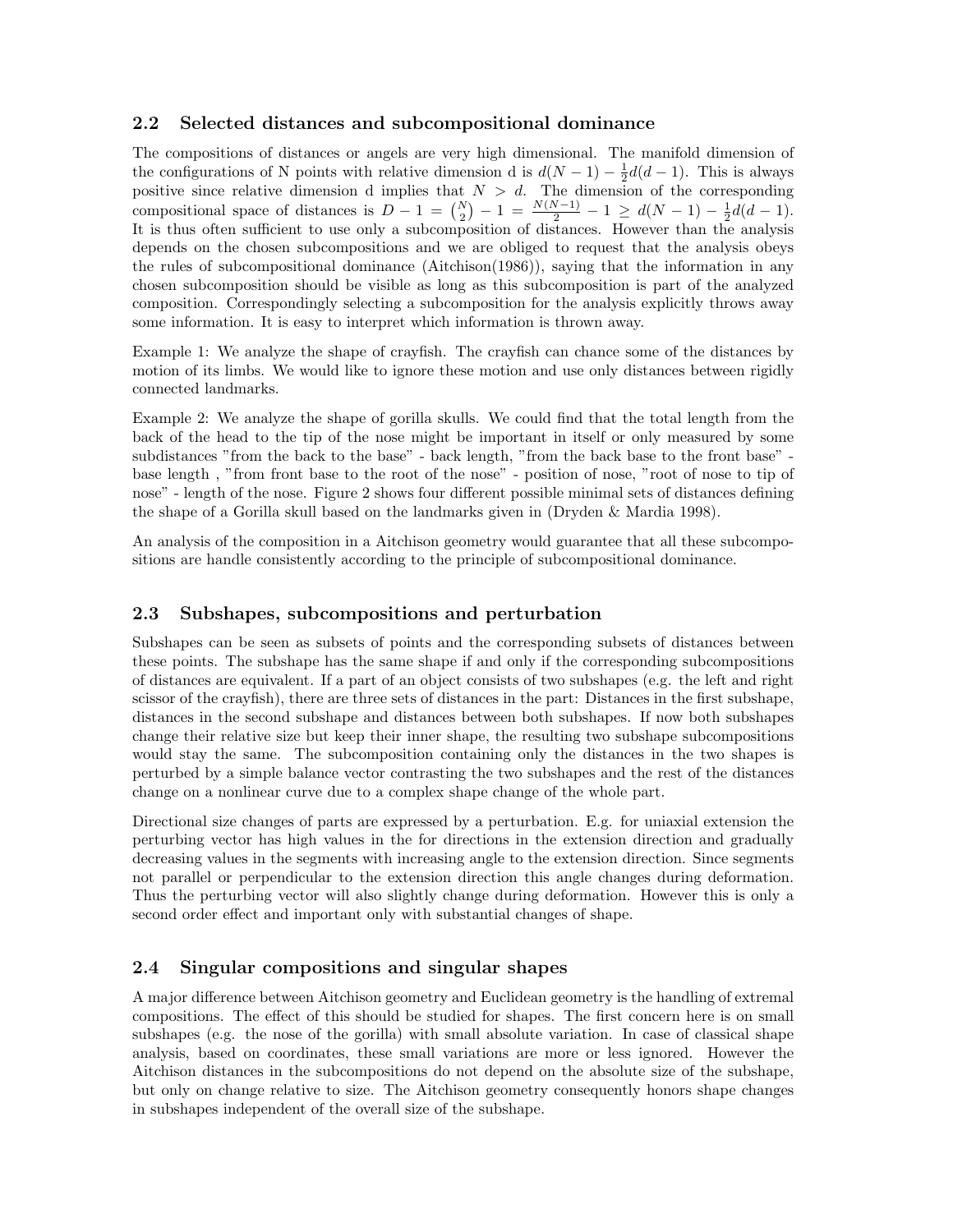## 2.2 Selected distances and subcompositional dominance

The compositions of distances or angels are very high dimensional. The manifold dimension of the configurations of N points with relative dimension d is  $d(N-1) - \frac{1}{2}d(d-1)$ . This is always positive since relative dimension d implies that  $N > d$ . The dimension of the corresponding compositional space of distances is  $D - 1 = {N \choose 2} - 1 = \frac{N(N-1)}{2} - 1 \ge d(N-1) - \frac{1}{2}d(d-1)$ . It is thus often sufficient to use only a subcomposition of distances. However than the analysis depends on the chosen subcompositions and we are obliged to request that the analysis obeys the rules of subcompositional dominance (Aitchison(1986)), saying that the information in any chosen subcomposition should be visible as long as this subcomposition is part of the analyzed composition. Correspondingly selecting a subcomposition for the analysis explicitly throws away some information. It is easy to interpret which information is thrown away.

Example 1: We analyze the shape of crayfish. The crayfish can chance some of the distances by motion of its limbs. We would like to ignore these motion and use only distances between rigidly connected landmarks.

Example 2: We analyze the shape of gorilla skulls. We could find that the total length from the back of the head to the tip of the nose might be important in itself or only measured by some subdistances "from the back to the base" - back length, "from the back base to the front base" base length , "from front base to the root of the nose" - position of nose, "root of nose to tip of nose" - length of the nose. Figure 2 shows four different possible minimal sets of distances defining the shape of a Gorilla skull based on the landmarks given in (Dryden & Mardia 1998).

An analysis of the composition in a Aitchison geometry would guarantee that all these subcompositions are handle consistently according to the principle of subcompositional dominance.

#### 2.3 Subshapes, subcompositions and perturbation

Subshapes can be seen as subsets of points and the corresponding subsets of distances between these points. The subshape has the same shape if and only if the corresponding subcompositions of distances are equivalent. If a part of an object consists of two subshapes (e.g. the left and right scissor of the crayfish), there are three sets of distances in the part: Distances in the first subshape, distances in the second subshape and distances between both subshapes. If now both subshapes change their relative size but keep their inner shape, the resulting two subshape subcompositions would stay the same. The subcomposition containing only the distances in the two shapes is perturbed by a simple balance vector contrasting the two subshapes and the rest of the distances change on a nonlinear curve due to a complex shape change of the whole part.

Directional size changes of parts are expressed by a perturbation. E.g. for uniaxial extension the perturbing vector has high values in the for directions in the extension direction and gradually decreasing values in the segments with increasing angle to the extension direction. Since segments not parallel or perpendicular to the extension direction this angle changes during deformation. Thus the perturbing vector will also slightly change during deformation. However this is only a second order effect and important only with substantial changes of shape.

### 2.4 Singular compositions and singular shapes

A major difference between Aitchison geometry and Euclidean geometry is the handling of extremal compositions. The effect of this should be studied for shapes. The first concern here is on small subshapes (e.g. the nose of the gorilla) with small absolute variation. In case of classical shape analysis, based on coordinates, these small variations are more or less ignored. However the Aitchison distances in the subcompositions do not depend on the absolute size of the subshape, but only on change relative to size. The Aitchison geometry consequently honors shape changes in subshapes independent of the overall size of the subshape.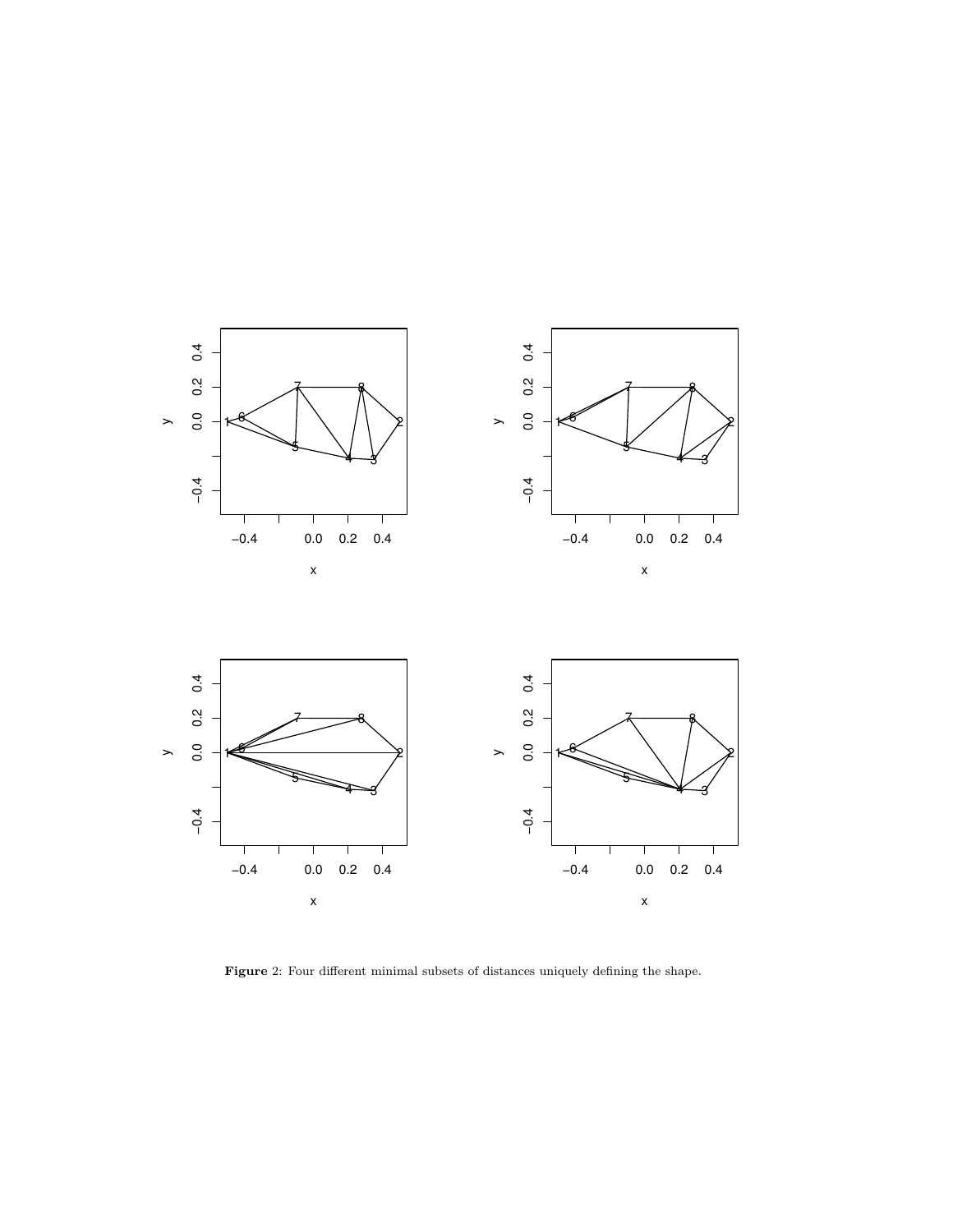

Figure 2: Four different minimal subsets of distances uniquely defining the shape.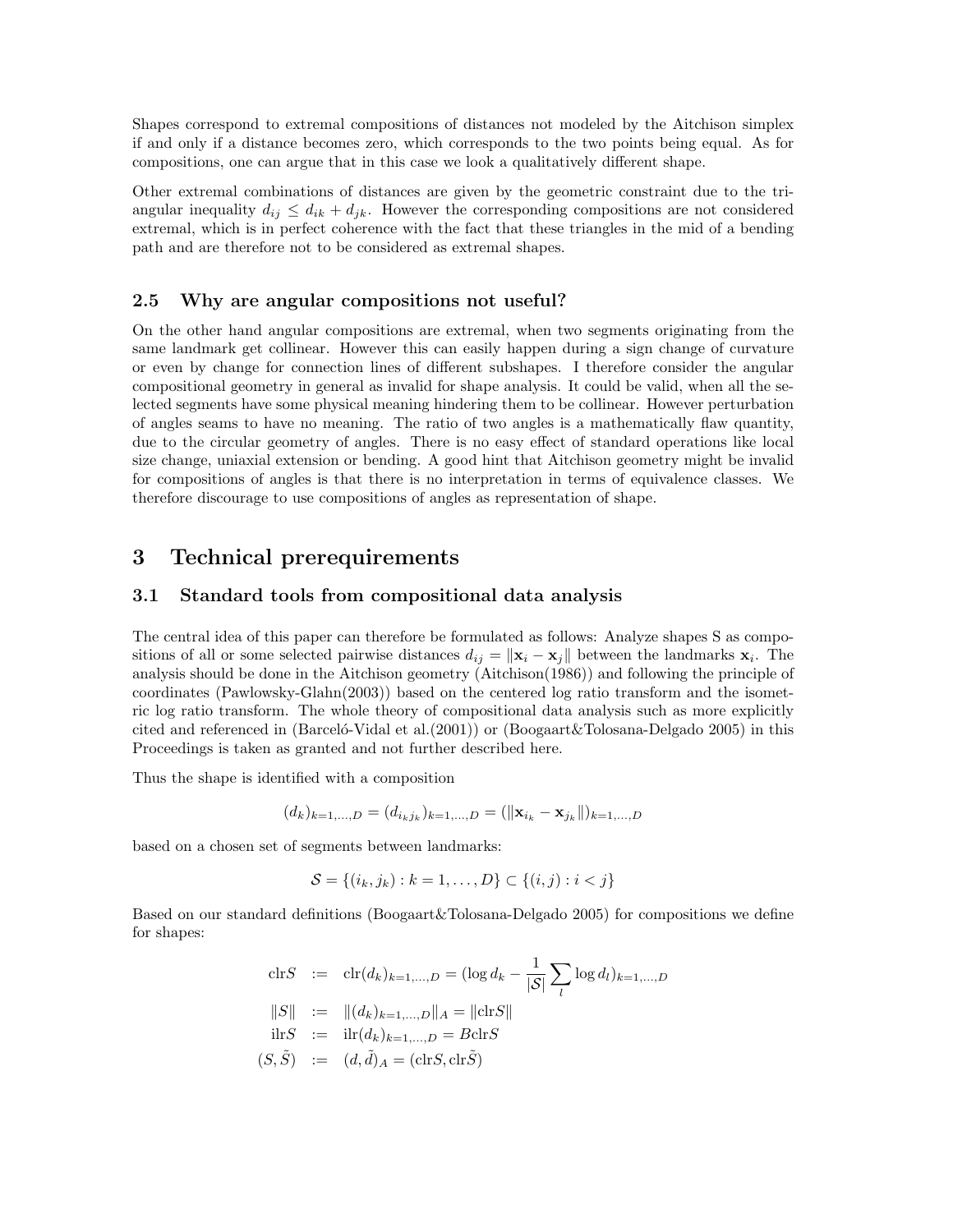Shapes correspond to extremal compositions of distances not modeled by the Aitchison simplex if and only if a distance becomes zero, which corresponds to the two points being equal. As for compositions, one can argue that in this case we look a qualitatively different shape.

Other extremal combinations of distances are given by the geometric constraint due to the triangular inequality  $d_{ij} \leq d_{ik} + d_{jk}$ . However the corresponding compositions are not considered extremal, which is in perfect coherence with the fact that these triangles in the mid of a bending path and are therefore not to be considered as extremal shapes.

#### 2.5 Why are angular compositions not useful?

On the other hand angular compositions are extremal, when two segments originating from the same landmark get collinear. However this can easily happen during a sign change of curvature or even by change for connection lines of different subshapes. I therefore consider the angular compositional geometry in general as invalid for shape analysis. It could be valid, when all the selected segments have some physical meaning hindering them to be collinear. However perturbation of angles seams to have no meaning. The ratio of two angles is a mathematically flaw quantity, due to the circular geometry of angles. There is no easy effect of standard operations like local size change, uniaxial extension or bending. A good hint that Aitchison geometry might be invalid for compositions of angles is that there is no interpretation in terms of equivalence classes. We therefore discourage to use compositions of angles as representation of shape.

## 3 Technical prerequirements

#### 3.1 Standard tools from compositional data analysis

The central idea of this paper can therefore be formulated as follows: Analyze shapes S as compositions of all or some selected pairwise distances  $d_{ij} = \|\mathbf{x}_i - \mathbf{x}_j\|$  between the landmarks  $\mathbf{x}_i$ . The analysis should be done in the Aitchison geometry (Aitchison(1986)) and following the principle of coordinates (Pawlowsky-Glahn(2003)) based on the centered log ratio transform and the isometric log ratio transform. The whole theory of compositional data analysis such as more explicitly cited and referenced in (Barcelo-Vidal et al. (2001)) or (Boogaart & Tolosana-Delgado 2005) in this Proceedings is taken as granted and not further described here.

Thus the shape is identified with a composition

$$
(d_k)_{k=1,\dots,D} = (d_{i_kj_k})_{k=1,\dots,D} = (\|\mathbf{x}_{i_k} - \mathbf{x}_{j_k}\|)_{k=1,\dots,D}
$$

based on a chosen set of segments between landmarks:

$$
\mathcal{S} = \{(i_k, j_k) : k = 1, \dots, D\} \subset \{(i, j) : i < j\}
$$

Based on our standard definitions (Boogaart&Tolosana-Delgado 2005) for compositions we define for shapes:

$$
\begin{aligned}\n\text{clrS} &:= \text{clr}(d_k)_{k=1,\dots,D} = (\log d_k - \frac{1}{|\mathcal{S}|} \sum_l \log d_l)_{k=1,\dots,D} \\
\|S\| &:= \|(d_k)_{k=1,\dots,D}\|_A = \|\text{clrS}\| \\
\text{ilrS} &:= \text{ilr}(d_k)_{k=1,\dots,D} = B \text{clrS} \\
(S,\tilde{S}) &:= (d,\tilde{d})_A = (\text{clrS}, \text{clr}\tilde{S})\n\end{aligned}
$$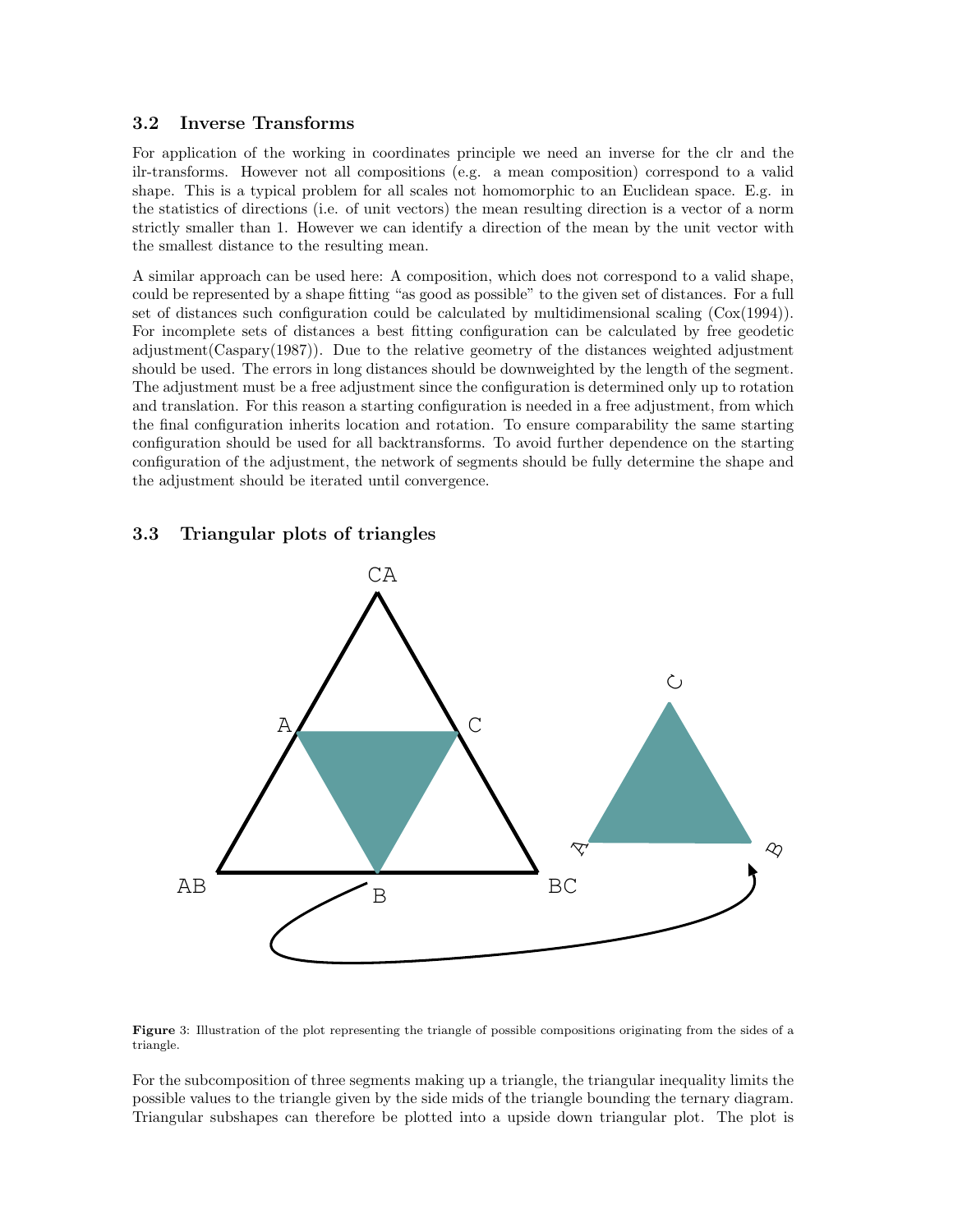## 3.2 Inverse Transforms

For application of the working in coordinates principle we need an inverse for the clr and the ilr-transforms. However not all compositions (e.g. a mean composition) correspond to a valid shape. This is a typical problem for all scales not homomorphic to an Euclidean space. E.g. in the statistics of directions (i.e. of unit vectors) the mean resulting direction is a vector of a norm strictly smaller than 1. However we can identify a direction of the mean by the unit vector with the smallest distance to the resulting mean.

A similar approach can be used here: A composition, which does not correspond to a valid shape, could be represented by a shape fitting "as good as possible" to the given set of distances. For a full set of distances such configuration could be calculated by multidimensional scaling  $(Cox(1994))$ . For incomplete sets of distances a best fitting configuration can be calculated by free geodetic adjustment(Caspary(1987)). Due to the relative geometry of the distances weighted adjustment should be used. The errors in long distances should be downweighted by the length of the segment. The adjustment must be a free adjustment since the configuration is determined only up to rotation and translation. For this reason a starting configuration is needed in a free adjustment, from which the final configuration inherits location and rotation. To ensure comparability the same starting configuration should be used for all backtransforms. To avoid further dependence on the starting configuration of the adjustment, the network of segments should be fully determine the shape and the adjustment should be iterated until convergence.

## 3.3 Triangular plots of triangles



Figure 3: Illustration of the plot representing the triangle of possible compositions originating from the sides of a triangle.

For the subcomposition of three segments making up a triangle, the triangular inequality limits the possible values to the triangle given by the side mids of the triangle bounding the ternary diagram. Triangular subshapes can therefore be plotted into a upside down triangular plot. The plot is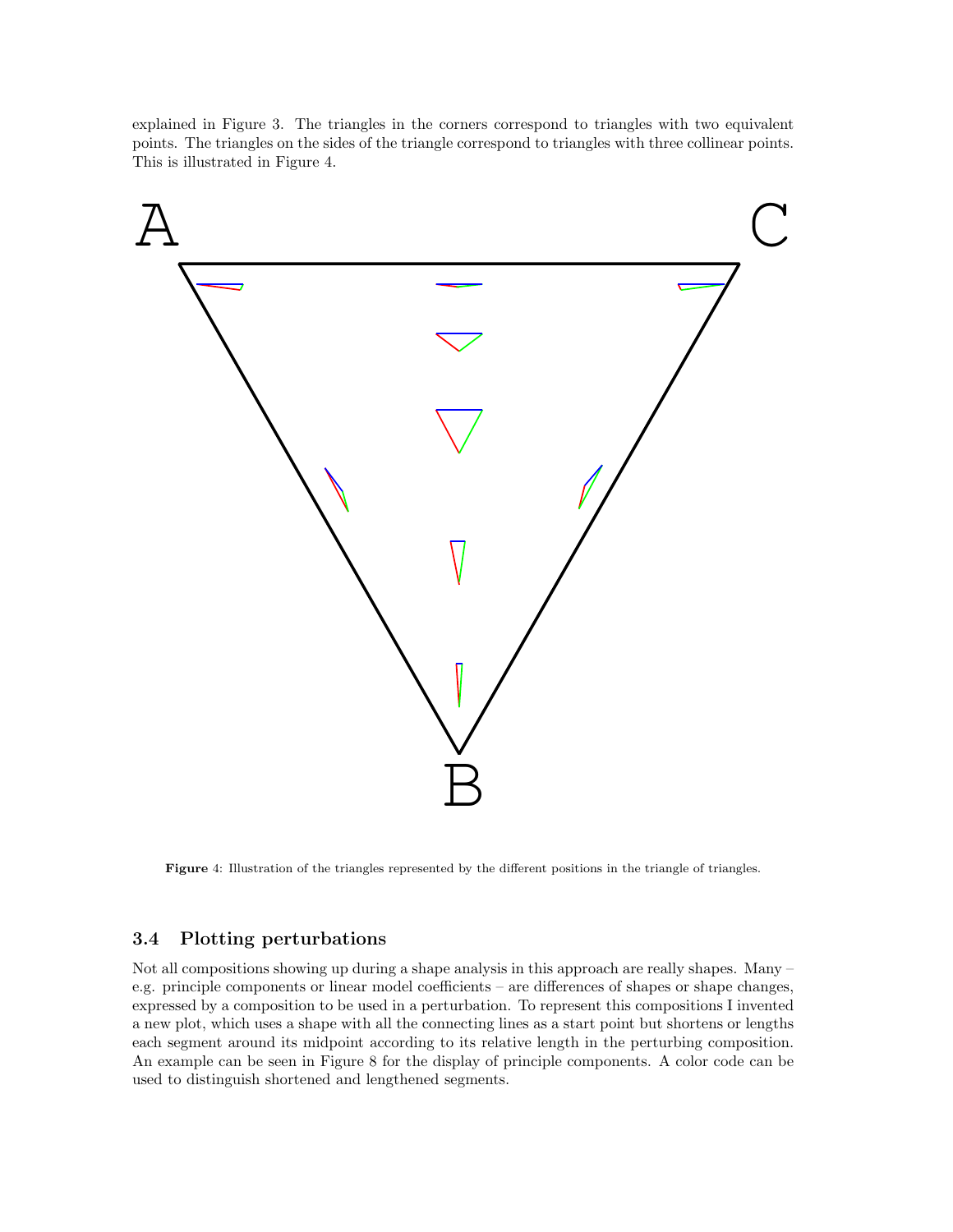explained in Figure 3. The triangles in the corners correspond to triangles with two equivalent points. The triangles on the sides of the triangle correspond to triangles with three collinear points. This is illustrated in Figure 4.



Figure 4: Illustration of the triangles represented by the different positions in the triangle of triangles.

## 3.4 Plotting perturbations

Not all compositions showing up during a shape analysis in this approach are really shapes. Many – e.g. principle components or linear model coefficients – are differences of shapes or shape changes, expressed by a composition to be used in a perturbation. To represent this compositions I invented a new plot, which uses a shape with all the connecting lines as a start point but shortens or lengths each segment around its midpoint according to its relative length in the perturbing composition. An example can be seen in Figure 8 for the display of principle components. A color code can be used to distinguish shortened and lengthened segments.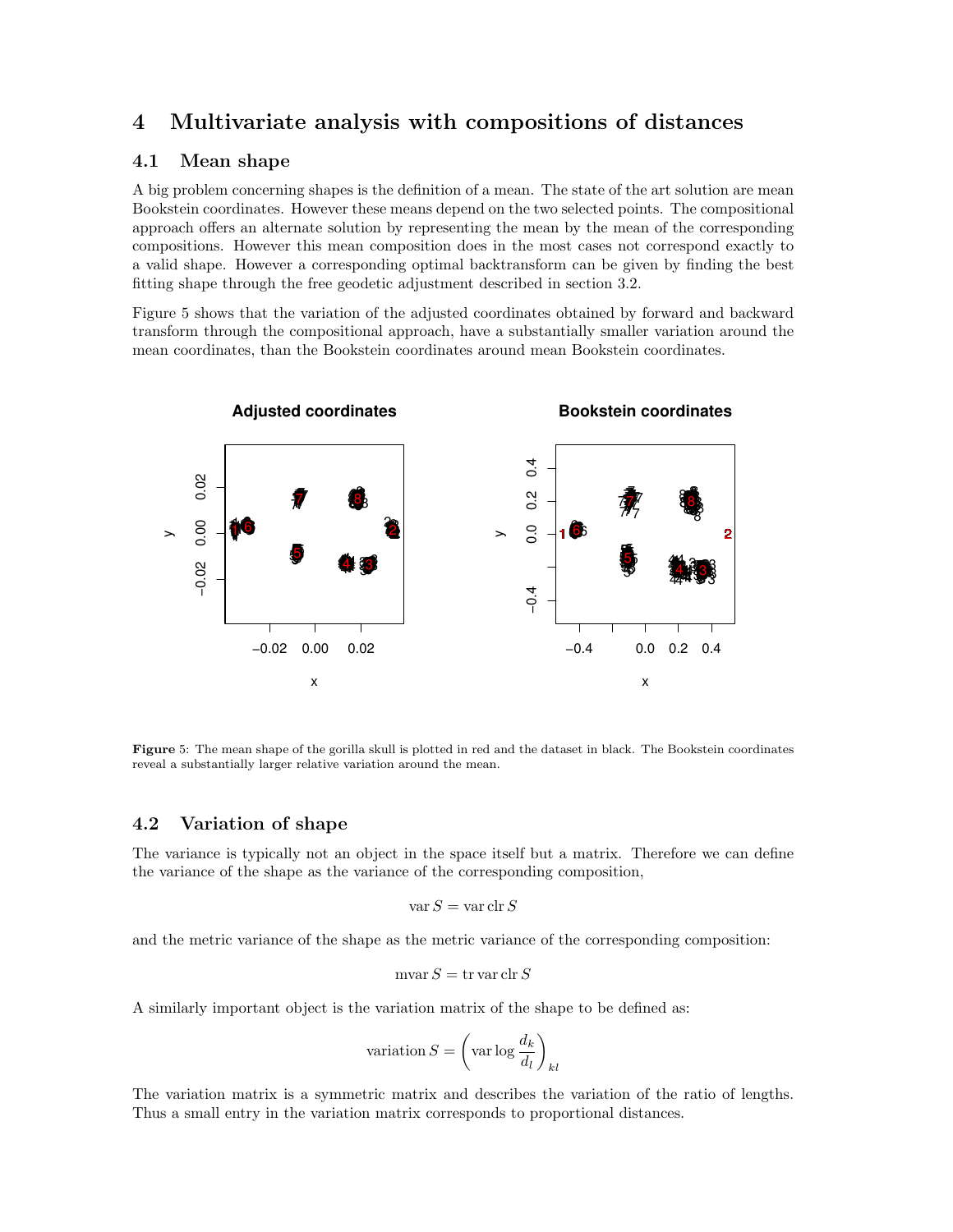## 4 Multivariate analysis with compositions of distances

### 4.1 Mean shape

A big problem concerning shapes is the definition of a mean. The state of the art solution are mean Bookstein coordinates. However these means depend on the two selected points. The compositional approach offers an alternate solution by representing the mean by the mean of the corresponding compositions. However this mean composition does in the most cases not correspond exactly to a valid shape. However a corresponding optimal backtransform can be given by finding the best fitting shape through the free geodetic adjustment described in section 3.2.

Figure 5 shows that the variation of the adjusted coordinates obtained by forward and backward transform through the compositional approach, have a substantially smaller variation around the mean coordinates, than the Bookstein coordinates around mean Bookstein coordinates.



Figure 5: The mean shape of the gorilla skull is plotted in red and the dataset in black. The Bookstein coordinates reveal a substantially larger relative variation around the mean.

### 4.2 Variation of shape

The variance is typically not an object in the space itself but a matrix. Therefore we can define the variance of the shape as the variance of the corresponding composition,

$$
\mathrm{var}\, S = \mathrm{var}\,\mathrm{clr}\, S
$$

and the metric variance of the shape as the metric variance of the corresponding composition:

$$
\mathrm{mvar}\, S=\mathrm{tr}\,\mathrm{var}\,\mathrm{clr}\, S
$$

A similarly important object is the variation matrix of the shape to be defined as:

variation 
$$
S = \left(\text{var log } \frac{d_k}{d_l}\right)_{kl}
$$

The variation matrix is a symmetric matrix and describes the variation of the ratio of lengths. Thus a small entry in the variation matrix corresponds to proportional distances.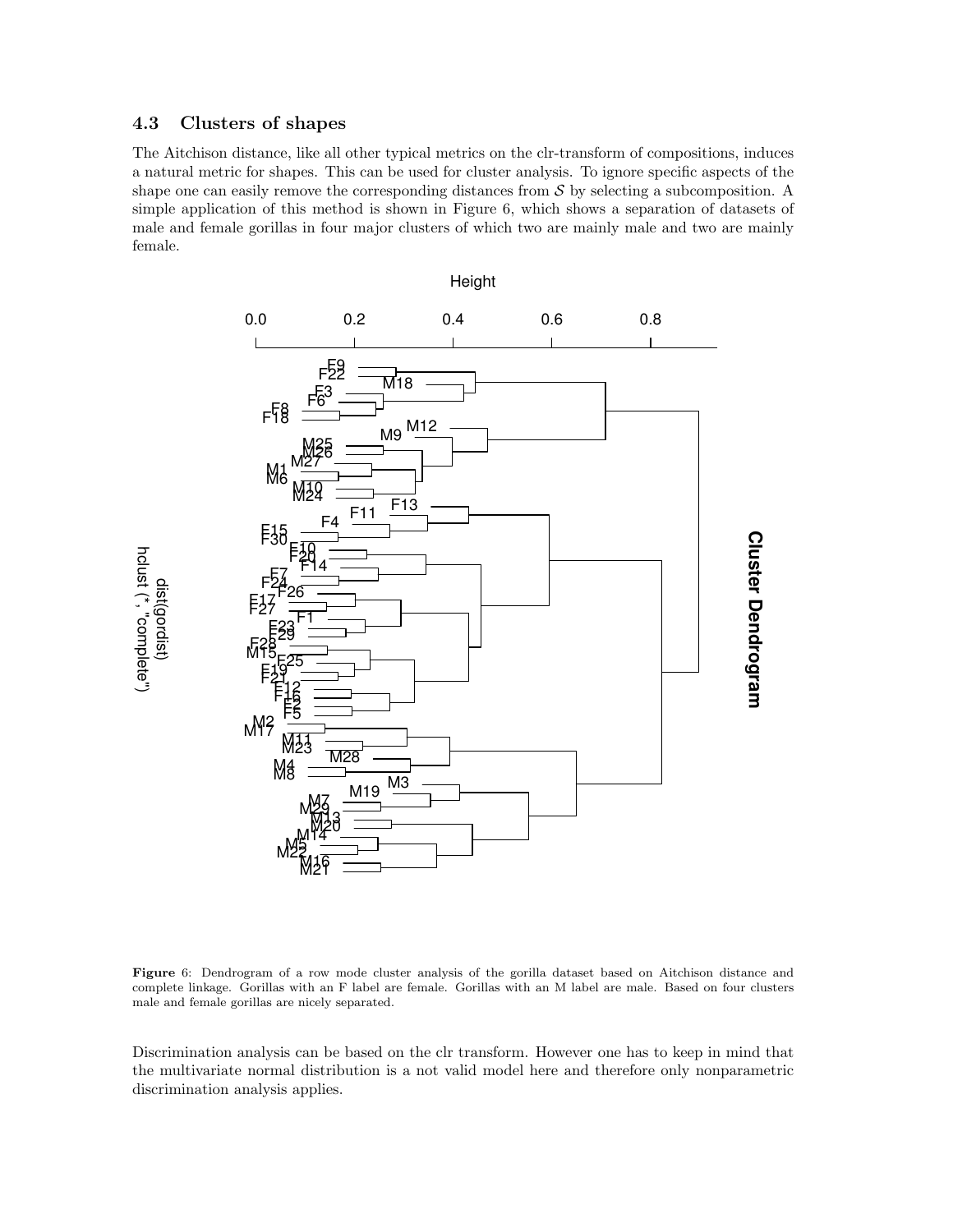## 4.3 Clusters of shapes

The Aitchison distance, like all other typical metrics on the clr-transform of compositions, induces a natural metric for shapes. This can be used for cluster analysis. To ignore specific aspects of the shape one can easily remove the corresponding distances from  $S$  by selecting a subcomposition. A simple application of this method is shown in Figure 6, which shows a separation of datasets of male and female gorillas in four major clusters of which two are mainly male and two are mainly female.



Figure 6: Dendrogram of a row mode cluster analysis of the gorilla dataset based on Aitchison distance and complete linkage. Gorillas with an F label are female. Gorillas with an M label are male. Based on four clusters male and female gorillas are nicely separated.

Discrimination analysis can be based on the clr transform. However one has to keep in mind that the multivariate normal distribution is a not valid model here and therefore only nonparametric discrimination analysis applies.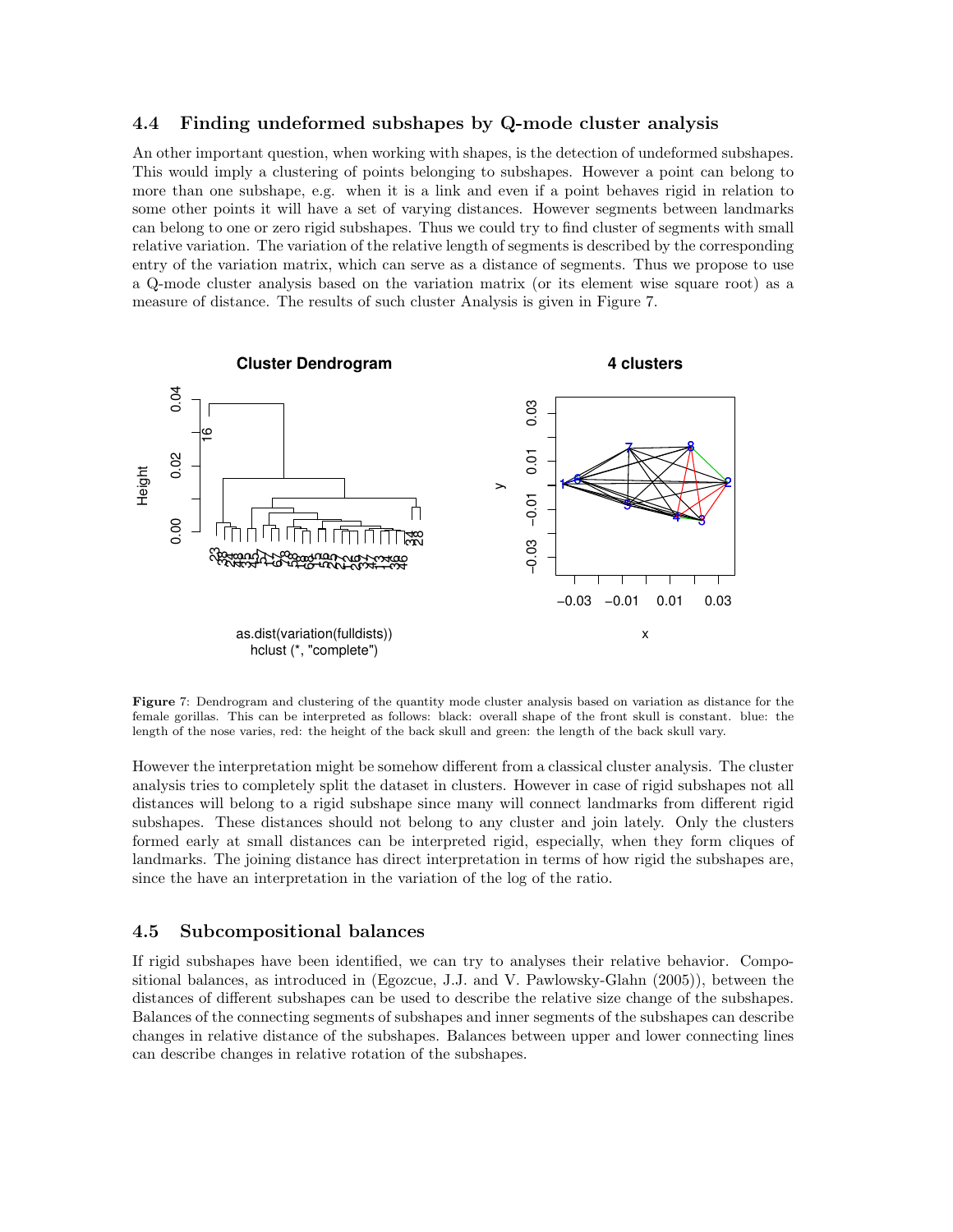#### 4.4 Finding undeformed subshapes by Q-mode cluster analysis

An other important question, when working with shapes, is the detection of undeformed subshapes. This would imply a clustering of points belonging to subshapes. However a point can belong to more than one subshape, e.g. when it is a link and even if a point behaves rigid in relation to some other points it will have a set of varying distances. However segments between landmarks can belong to one or zero rigid subshapes. Thus we could try to find cluster of segments with small relative variation. The variation of the relative length of segments is described by the corresponding entry of the variation matrix, which can serve as a distance of segments. Thus we propose to use a Q-mode cluster analysis based on the variation matrix (or its element wise square root) as a measure of distance. The results of such cluster Analysis is given in Figure 7.



Figure 7: Dendrogram and clustering of the quantity mode cluster analysis based on variation as distance for the female gorillas. This can be interpreted as follows: black: overall shape of the front skull is constant. blue: the length of the nose varies, red: the height of the back skull and green: the length of the back skull vary.

However the interpretation might be somehow different from a classical cluster analysis. The cluster analysis tries to completely split the dataset in clusters. However in case of rigid subshapes not all distances will belong to a rigid subshape since many will connect landmarks from different rigid subshapes. These distances should not belong to any cluster and join lately. Only the clusters formed early at small distances can be interpreted rigid, especially, when they form cliques of landmarks. The joining distance has direct interpretation in terms of how rigid the subshapes are, since the have an interpretation in the variation of the log of the ratio.

#### 4.5 Subcompositional balances

If rigid subshapes have been identified, we can try to analyses their relative behavior. Compositional balances, as introduced in (Egozcue, J.J. and V. Pawlowsky-Glahn (2005)), between the distances of different subshapes can be used to describe the relative size change of the subshapes. Balances of the connecting segments of subshapes and inner segments of the subshapes can describe changes in relative distance of the subshapes. Balances between upper and lower connecting lines can describe changes in relative rotation of the subshapes.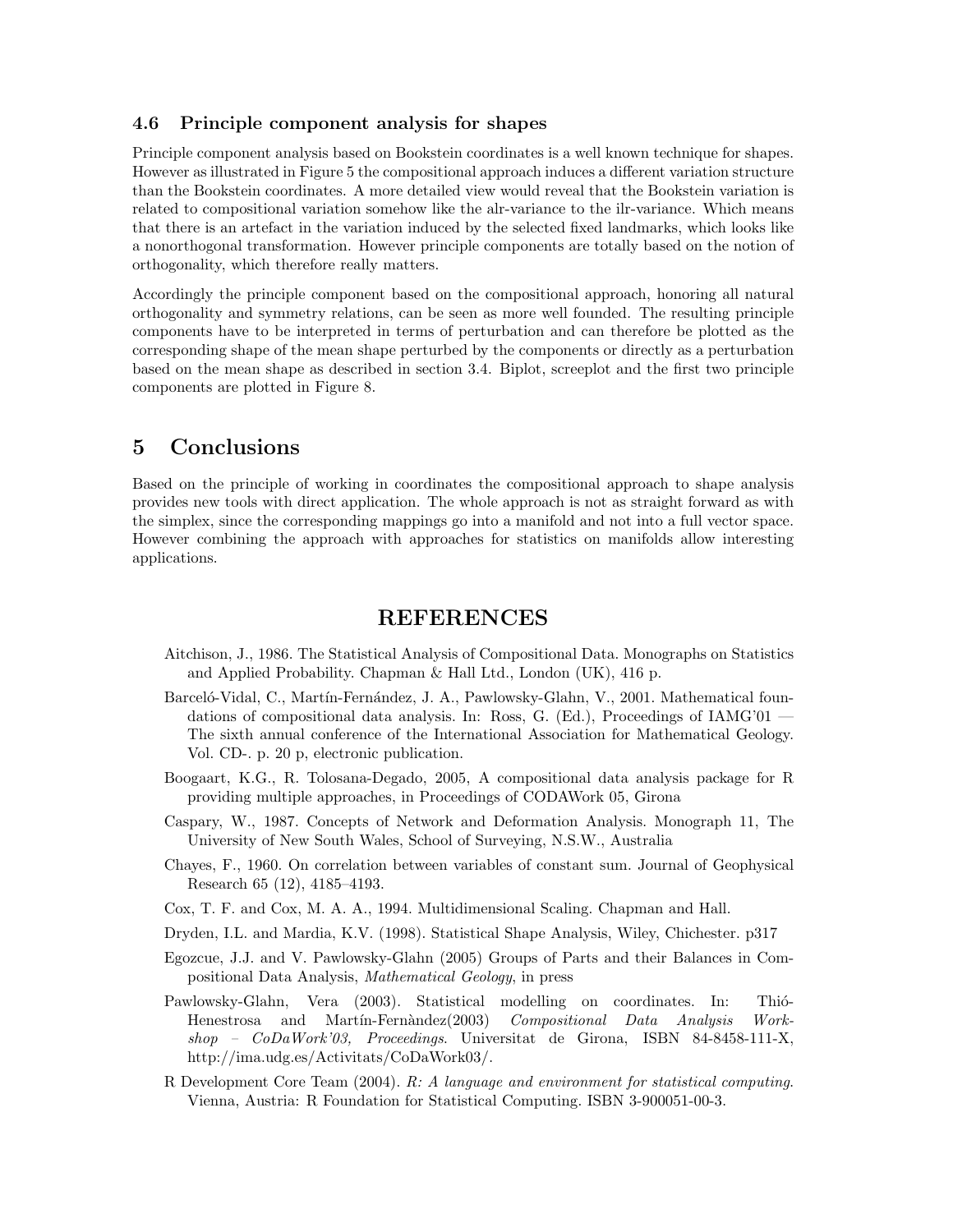### 4.6 Principle component analysis for shapes

Principle component analysis based on Bookstein coordinates is a well known technique for shapes. However as illustrated in Figure 5 the compositional approach induces a different variation structure than the Bookstein coordinates. A more detailed view would reveal that the Bookstein variation is related to compositional variation somehow like the alr-variance to the ilr-variance. Which means that there is an artefact in the variation induced by the selected fixed landmarks, which looks like a nonorthogonal transformation. However principle components are totally based on the notion of orthogonality, which therefore really matters.

Accordingly the principle component based on the compositional approach, honoring all natural orthogonality and symmetry relations, can be seen as more well founded. The resulting principle components have to be interpreted in terms of perturbation and can therefore be plotted as the corresponding shape of the mean shape perturbed by the components or directly as a perturbation based on the mean shape as described in section 3.4. Biplot, screeplot and the first two principle components are plotted in Figure 8.

## 5 Conclusions

Based on the principle of working in coordinates the compositional approach to shape analysis provides new tools with direct application. The whole approach is not as straight forward as with the simplex, since the corresponding mappings go into a manifold and not into a full vector space. However combining the approach with approaches for statistics on manifolds allow interesting applications.

## REFERENCES

- Aitchison, J., 1986. The Statistical Analysis of Compositional Data. Monographs on Statistics and Applied Probability. Chapman & Hall Ltd., London (UK), 416 p.
- Barceló-Vidal, C., Martín-Fernández, J. A., Pawlowsky-Glahn, V., 2001. Mathematical foundations of compositional data analysis. In: Ross, G. (Ed.), Proceedings of IAMG'01 — The sixth annual conference of the International Association for Mathematical Geology. Vol. CD-. p. 20 p, electronic publication.
- Boogaart, K.G., R. Tolosana-Degado, 2005, A compositional data analysis package for R providing multiple approaches, in Proceedings of CODAWork 05, Girona
- Caspary, W., 1987. Concepts of Network and Deformation Analysis. Monograph 11, The University of New South Wales, School of Surveying, N.S.W., Australia
- Chayes, F., 1960. On correlation between variables of constant sum. Journal of Geophysical Research 65 (12), 4185–4193.
- Cox, T. F. and Cox, M. A. A., 1994. Multidimensional Scaling. Chapman and Hall.
- Dryden, I.L. and Mardia, K.V. (1998). Statistical Shape Analysis, Wiley, Chichester. p317
- Egozcue, J.J. and V. Pawlowsky-Glahn (2005) Groups of Parts and their Balances in Compositional Data Analysis, Mathematical Geology, in press
- Pawlowsky-Glahn, Vera (2003). Statistical modelling on coordinates. In: Thio-Henestrosa and Martín-Fernàndez(2003) Compositional Data Analysis Work $shop - CoDaWork'03, Proceedings. Universitat de Girona, ISBN 84-8458-111-X,$ http://ima.udg.es/Activitats/CoDaWork03/.
- R Development Core Team (2004). R: A language and environment for statistical computing. Vienna, Austria: R Foundation for Statistical Computing. ISBN 3-900051-00-3.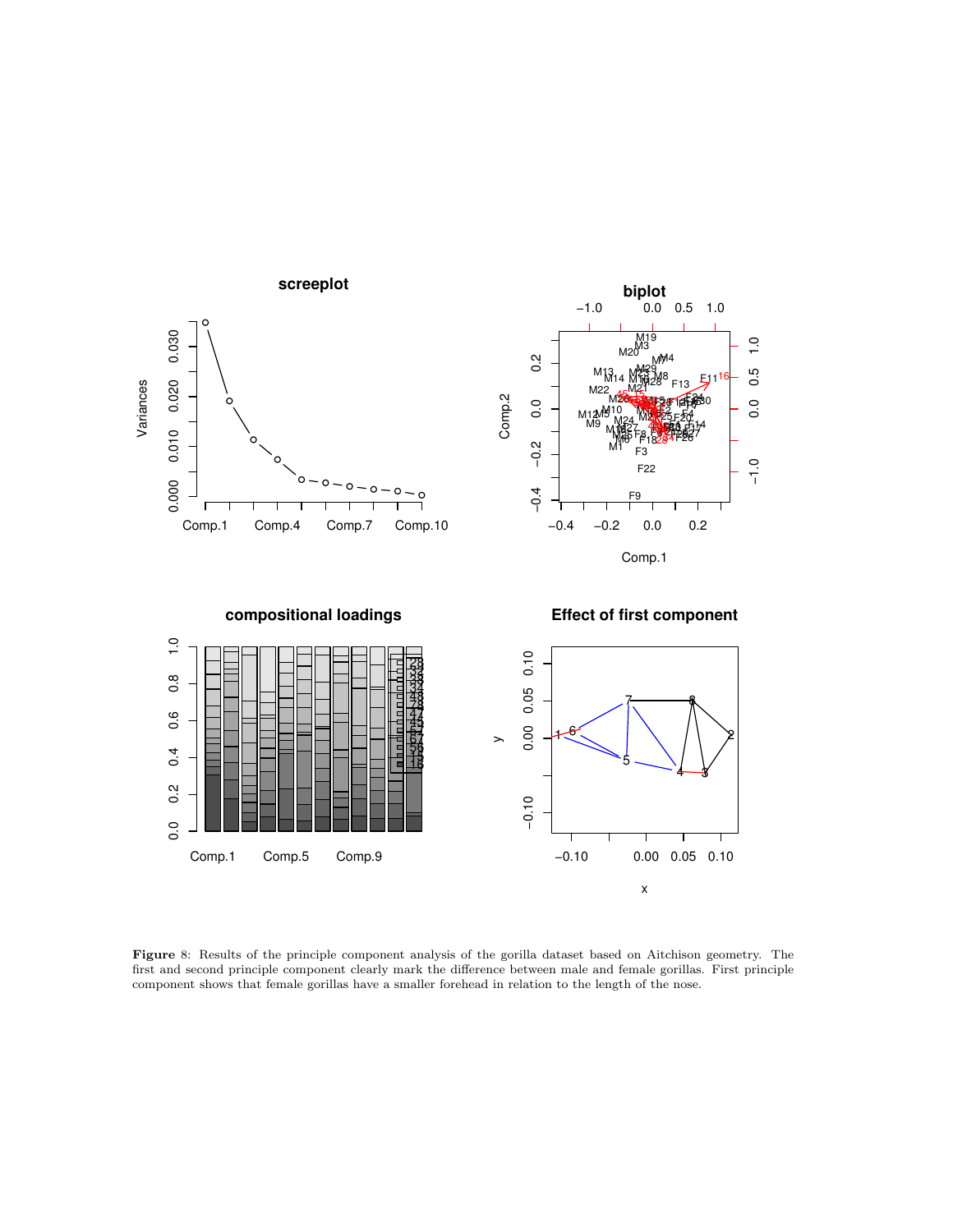

Figure 8: Results of the principle component analysis of the gorilla dataset based on Aitchison geometry. The first and second principle component clearly mark the difference between male and female gorillas. First principle component shows that female gorillas have a smaller forehead in relation to the length of the nose.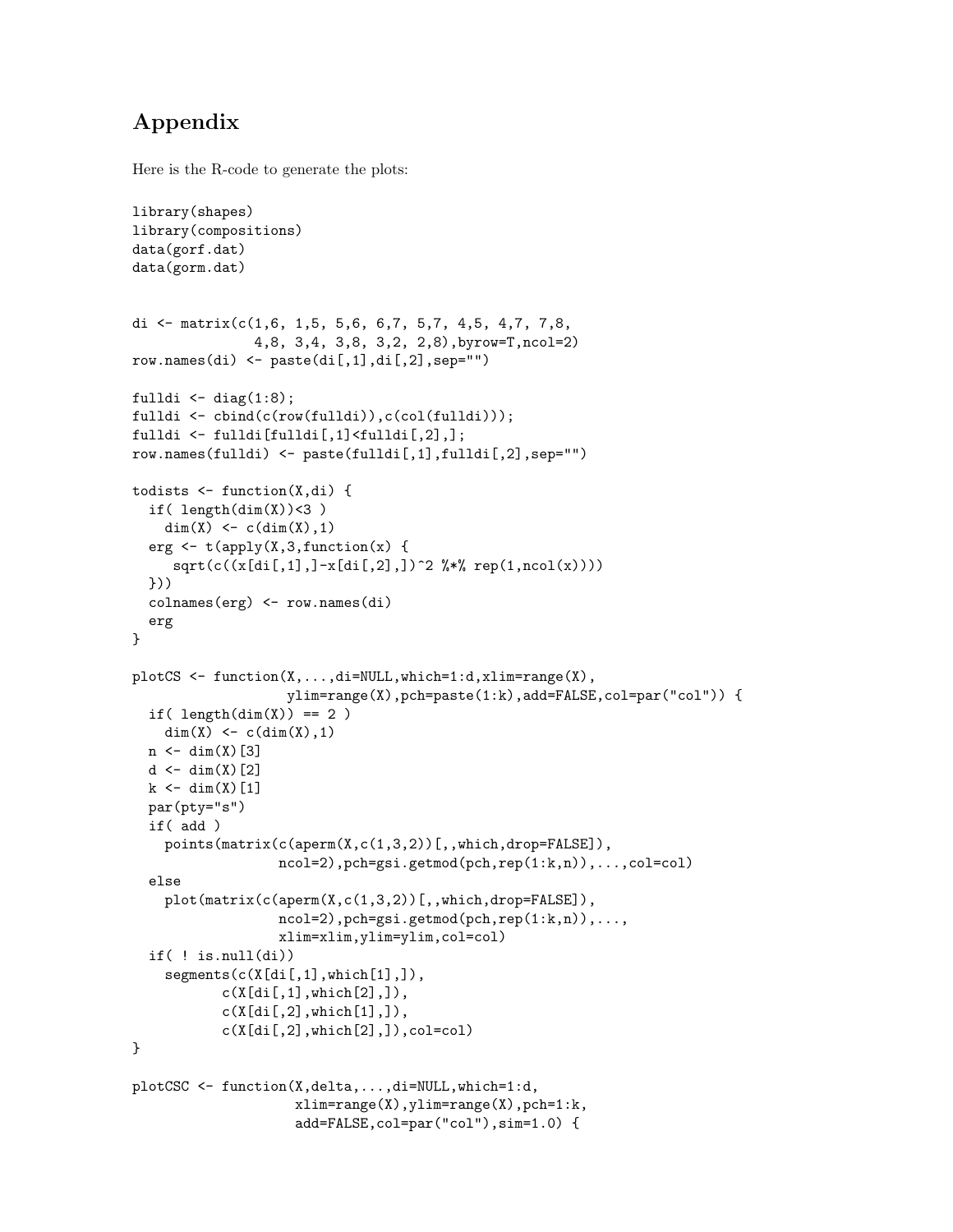# Appendix

Here is the R-code to generate the plots:

```
library(shapes)
library(compositions)
data(gorf.dat)
data(gorm.dat)
di <- matrix(c(1,6, 1,5, 5,6, 6,7, 5,7, 4,5, 4,7, 7,8,
                4,8, 3,4, 3,8, 3,2, 2,8),byrow=T,ncol=2)
row.names(di) \leftarrow paste(di[,1],di[,2],sep="")
fulldi \leq diag(1:8);
fulldi <- cbind(c(row(fulldi)),c(col(fulldi)));
fulldi <- fulldi[fulldi[,1]<fulldi[,2],];
row.names(fulldi) <- paste(fulldi[,1],fulldi[,2],sep="")
todists \leftarrow function(X, di) {
  if( length(dim(X)) < 3 )dim(X) <- c(\dim(X), 1)erg \leftarrow t(apply(X,3,function(x) {
     sqrt(c((x[di[,1],]-x[di[,2],])^2 %*% rep(1,nco1(x))))}))
  colnames(erg) <- row.names(di)
  erg
}
plotCS <- function(X,...,di=NULL,which=1:d,xlim=range(X),
                    ylim=range(X),pch=paste(1:k),add=FALSE,col=par("col")) {
  if( length(dim(X)) == 2 )
    dim(X) <- c(\dim(X), 1)n \leftarrow \dim(X)[3]
  d \leftarrow \dim(X)[2]
  k \leftarrow \dim(X)[1]par(pty="s")
  if( add )
    points(matrix(c(aperm(X,c(1,3,2))[,,which,drop=FALSE]),
                   ncol=2),pch=gsi.getmod(pch,rep(1:k,n)),...,col=col)
  else
    plot(matrix(c(aperm(X,c(1,3,2))[,,which,drop=FALSE]),
                   ncol=2), pch=gsi.getmod(pch, rep(1:k,n)),...,xlim=xlim,ylim=ylim,col=col)
  if( ! is .null(di))segments(c(X[di[,1],which[1],]),
            c(X[di[,1], which[2],]),
            c(X[di[,2],which[1],]),
           c(X[di[,2],which[2],]),col=col)}
plotCSC <- function(X,delta,...,di=NULL,which=1:d,
                     xlim=range(X),ylim=range(X),pch=1:k,
                     add=FALSE,col=par("col"),sim=1.0) {
```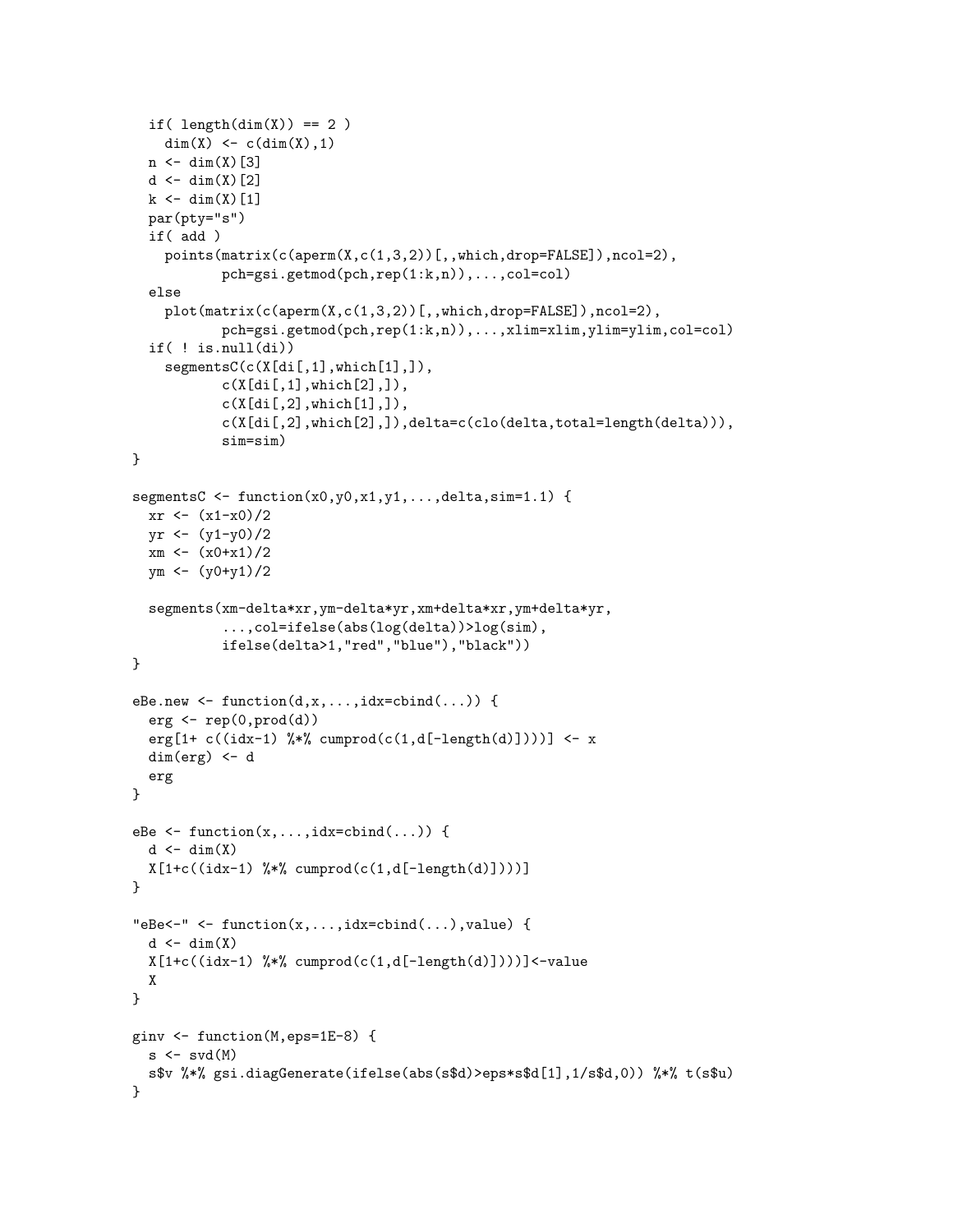```
if( length(dim(X)) == 2)dim(X) <- c(\dim(X), 1)n \leftarrow \dim(X)[3]
  d \leftarrow \dim(X)[2]k \leftarrow \dim(X)[1]par(pty="s")
  if( add )
    points(matrix(c(aperm(X,c(1,3,2))[,,which,drop=FALSE]),ncol=2),
            pch=gsi.getmod(pch,rep(1:k,n)),...,col=col)
  else
    plot(matrix(c(aperm(X,c(1,3,2))[,,which,drop=FALSE]),ncol=2),
            pch=gsi.getmod(pch,rep(1:k,n)),...,xlim=xlim,ylim=ylim,col=col)
  if( ! is .null(di))segmentsC(c(X[di[,1],which[1],]),
            c(X[di[,1], which[2],]),
            c(X[di[,2], which[1],]),
            c(X[di[,2],which[2],]),delta=c(clo(delta,total=length(delta))),
            sim=sim)
}
segmentsC \leftarrow function(x0,y0,x1,y1,...,delta,sim=1.1) {
  xr < - (x1-x0)/2yr < - (y1-y0)/2xm \leftarrow (x0+x1)/2ym <- (y0+y1)/2
  segments(xm-delta*xr,ym-delta*yr,xm+delta*xr,ym+delta*yr,
            ...,col=ifelse(abs(log(delta))>log(sim),
            ifelse(delta>1,"red","blue"),"black"))
}
eBe.new \leq function(d,x,...,idx=cbind(...)) {
  erg \leftarrow rep(0, prod(d))erg[1+ c((idx-1) \frac{1}{2} (\frac{1}{2} cumprod(c(1,d[-length(d)])))] <- x
  dim(erg) <- d
  erg
}
eBe \leq function(x,...,idx=cbind(...)) {
  d \leftarrow \dim(X)X[1+c((idx-1) % x^2; cumprod(c(1,d[-length(d)])))}
"eBe<-" <- function(x, \ldots, idx=cbind(\ldots), value) {
  d \leftarrow \dim(X)X[1+c((idx-1) %*% cumprod(c(1,d[-length(d)])))]<-value
  X
}
ginv <- function(M,eps=1E-8) {
  s \leftarrow svd(M)s$v %*% gsi.diagGenerate(ifelse(abs(s$d)>eps*s$d[1],1/s$d,0)) %*% t(s$u)
}
```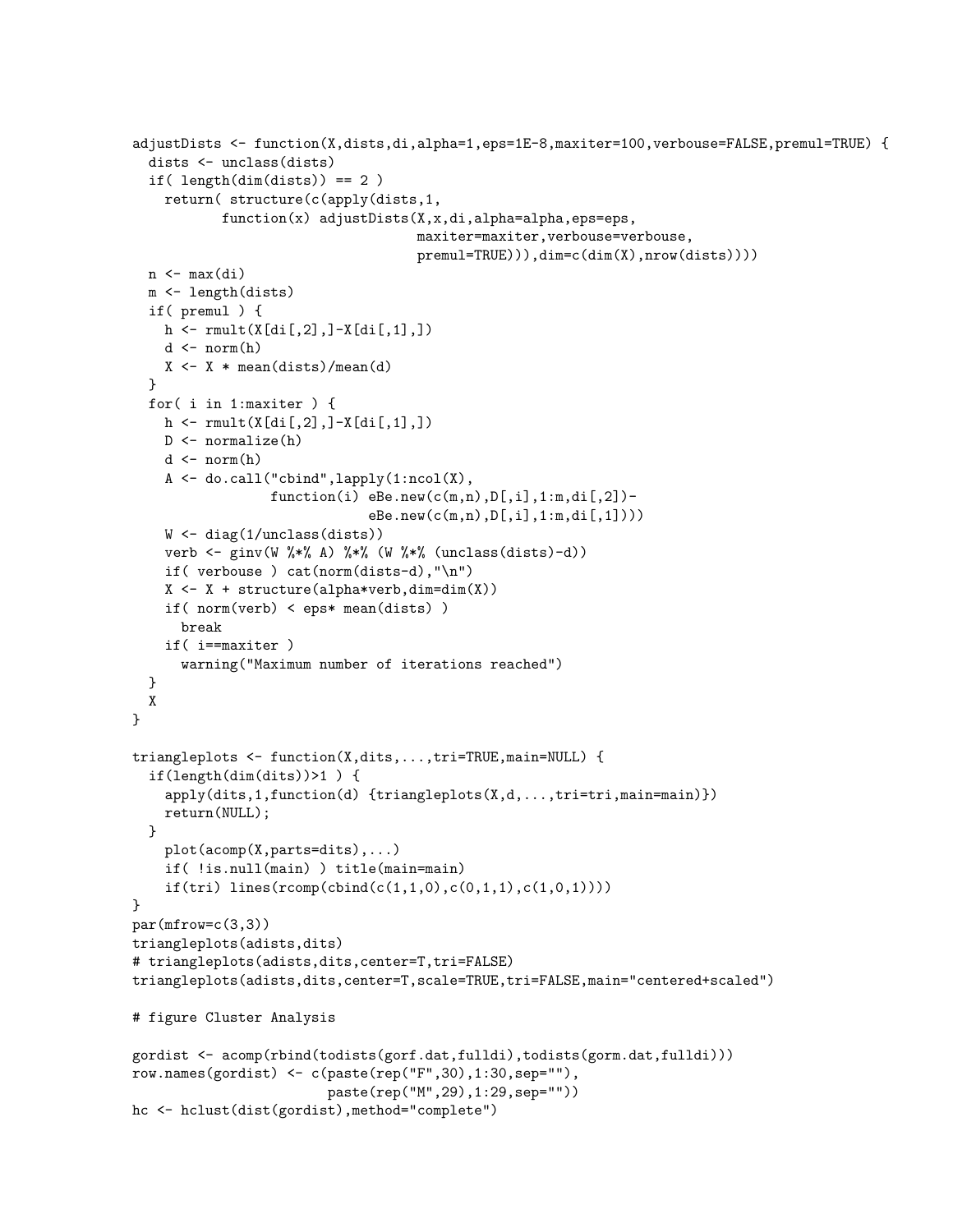```
adjustDists <- function(X,dists,di,alpha=1,eps=1E-8,maxiter=100,verbouse=FALSE,premul=TRUE) {
  dists <- unclass(dists)
  if( length(dints)) == 2)return( structure(c(apply(dists,1,
            function(x) adjustDists(X,x,di,alpha=alpha,eps=eps,
                                     maxiter=maxiter,verbouse=verbouse,
                                     premul=TRUE))),dim=c(dim(X),nrow(dists))))
  n \leftarrow max(di)m <- length(dists)
  if( premul ) {
    h \leftarrow \text{rmult}(X[di[,2], ]-X[di[,1], ])d \leftarrow norm(h)X \leftarrow X * \text{mean}(dists)/\text{mean}(d)}
  for( i in 1:maxiter ) {
    h \leq r mult(X[di[,2],]-X[di[,1],])
    D <- normalize(h)
    d \leftarrow norm(h)A <- do.call("cbind",lapply(1:ncol(X),
                  function(i) eBe.new(c(m,n),D[,i],1:m,di[,2])-
                               eBe.new(c(m,n),D[,i],1:m,di[,1])))
    W \leftarrow diag(1/unclass(dists))verb <- ginv(W %*% A) %*% (W %*% (unclass(dists)-d))
    if( verbouse ) cat(norm(dists-d),"\n")
    X \leftarrow X + structure(alpha * verb, dim = dim(X))if( norm(verb) < eps* mean(dists) )
      break
    if( i==maxiter )
      warning("Maximum number of iterations reached")
  }
 X
}
triangleplots <- function(X,dits,...,tri=TRUE,main=NULL) {
  if(length(dim(dits))>1 ) {
    apply(dits,1,function(d) {triangleplots(X,d,...,tri=tri,main=main)})
    return(NULL);
  }
    plot(acomp(X,parts=dits),...)
    if( !is.null(main) ) title(main=main)
    if(tri) lines(rcomp(cbind(c(1,1,0),c(0,1,1),c(1,0,1))))}
par(mfrow=c(3,3))
triangleplots(adists,dits)
# triangleplots(adists,dits,center=T,tri=FALSE)
triangleplots(adists,dits,center=T,scale=TRUE,tri=FALSE,main="centered+scaled")
# figure Cluster Analysis
gordist <- acomp(rbind(todists(gorf.dat,fulldi),todists(gorm.dat,fulldi)))
row.names(gordist) <- c(paste(rep("F",30),1:30,sep=""),
                         paste(rep("M",29),1:29,sep=""))
hc <- hclust(dist(gordist),method="complete")
```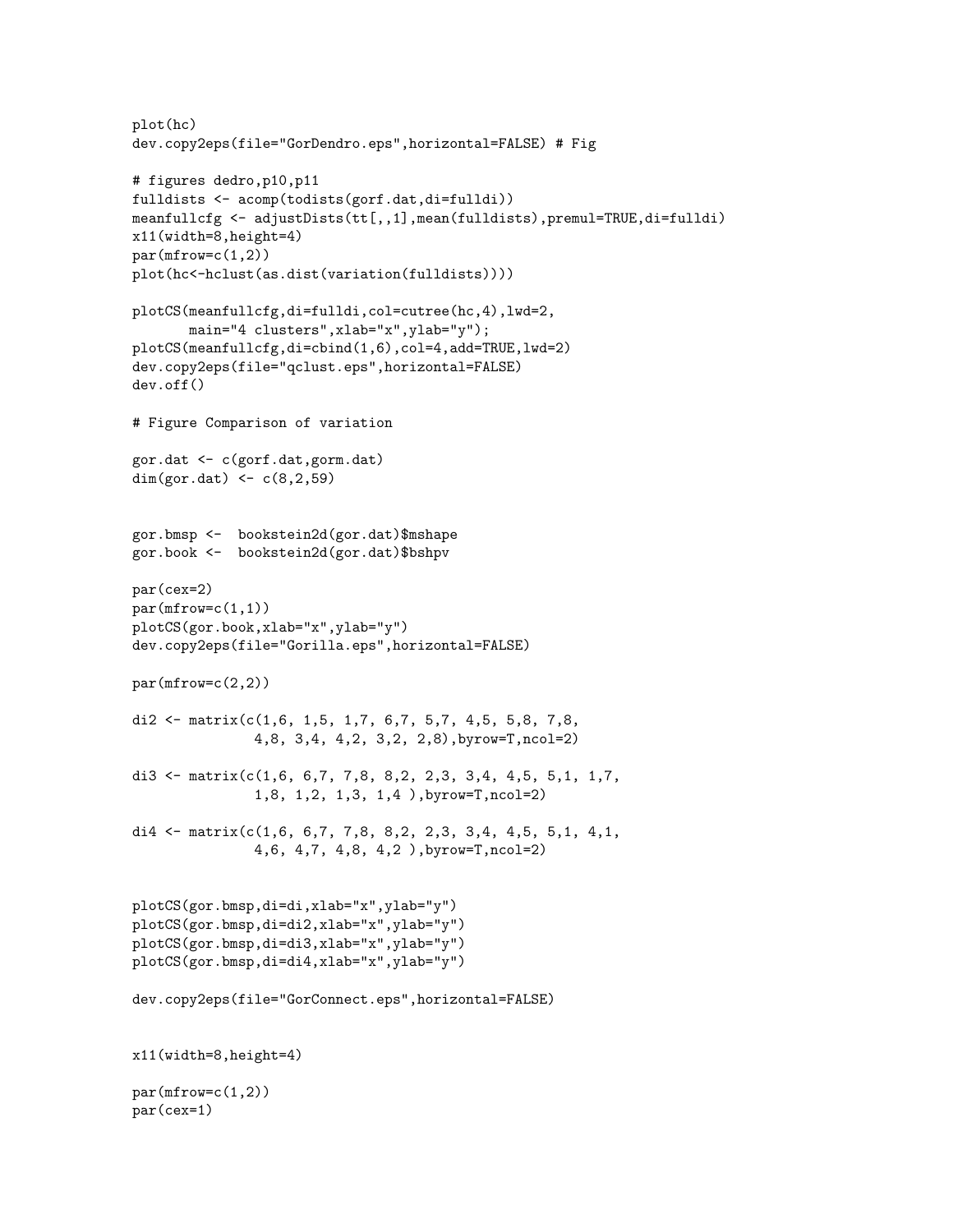```
plot(hc)
dev.copy2eps(file="GorDendro.eps",horizontal=FALSE) # Fig
# figures dedro,p10,p11
fulldists <- acomp(todists(gorf.dat,di=fulldi))
meanfullcfg <- adjustDists(tt[,,1],mean(fulldists),premul=TRUE,di=fulldi)
x11(width=8,height=4)
par(mfrow=c(1,2))plot(hc<-hclust(as.dist(variation(fulldists))))
plotCS(meanfullcfg,di=fulldi,col=cutree(hc,4),lwd=2,
       main="4 clusters",xlab="x",ylab="y");
plotCS(meanfullcfg,di=cbind(1,6),col=4,add=TRUE,lwd=2)
dev.copy2eps(file="qclust.eps",horizontal=FALSE)
dev.off()
# Figure Comparison of variation
gor.dat <- c(gorf.dat,gorm.dat)
dim(gor.dat) <-c(8, 2, 59)gor.bmsp <- bookstein2d(gor.dat)$mshape
gor.book <- bookstein2d(gor.dat)$bshpv
par(cex=2)
par(mfrow=c(1,1))plotCS(gor.book,xlab="x",ylab="y")
dev.copy2eps(file="Gorilla.eps",horizontal=FALSE)
par(mfrow=c(2,2))di2 <- matrix(c(1,6, 1,5, 1,7, 6,7, 5,7, 4,5, 5,8, 7,8,4,8, 3,4, 4,2, 3,2, 2,8),byrow=T,ncol=2)
di3 <- matrix(c(1,6, 6,7, 7,8, 8,2, 2,3, 3,4, 4,5, 5,1, 1,7,
               1,8, 1,2, 1,3, 1,4 ),byrow=T,ncol=2)
di4 <- matrix(c(1,6, 6,7, 7,8, 8,2, 2,3, 3,4, 4,5, 5,1, 4,1,
               4,6, 4,7, 4,8, 4,2 ),byrow=T,ncol=2)
plotCS(gor.bmsp,di=di,xlab="x",ylab="y")
plotCS(gor.bmsp,di=di2,xlab="x",ylab="y")
plotCS(gor.bmsp,di=di3,xlab="x",ylab="y")
plotCS(gor.bmsp,di=di4,xlab="x",ylab="y")
dev.copy2eps(file="GorConnect.eps",horizontal=FALSE)
x11(width=8,height=4)
par(mfrow=c(1,2))par(cex=1)
```